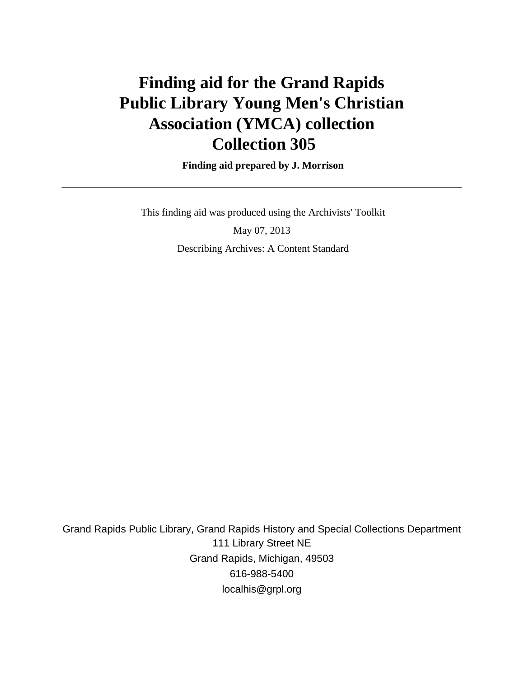# **Finding aid for the Grand Rapids Public Library Young Men's Christian Association (YMCA) collection Collection 305**

 **Finding aid prepared by J. Morrison**

 This finding aid was produced using the Archivists' Toolkit May 07, 2013 Describing Archives: A Content Standard

Grand Rapids Public Library, Grand Rapids History and Special Collections Department 111 Library Street NE Grand Rapids, Michigan, 49503 616-988-5400 localhis@grpl.org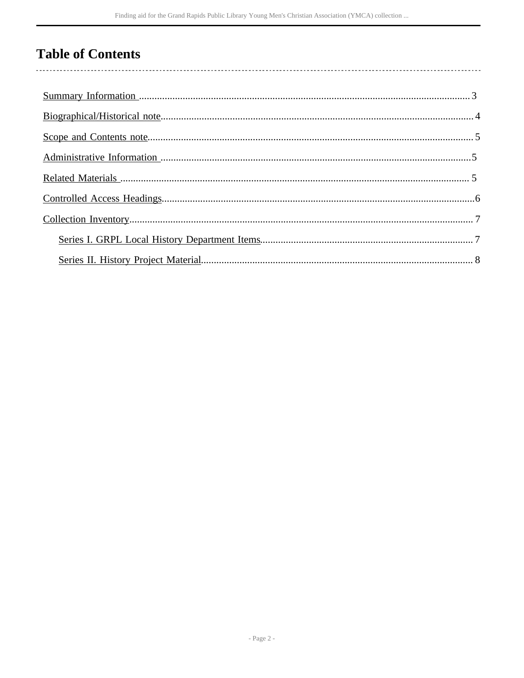# **Table of Contents**

l,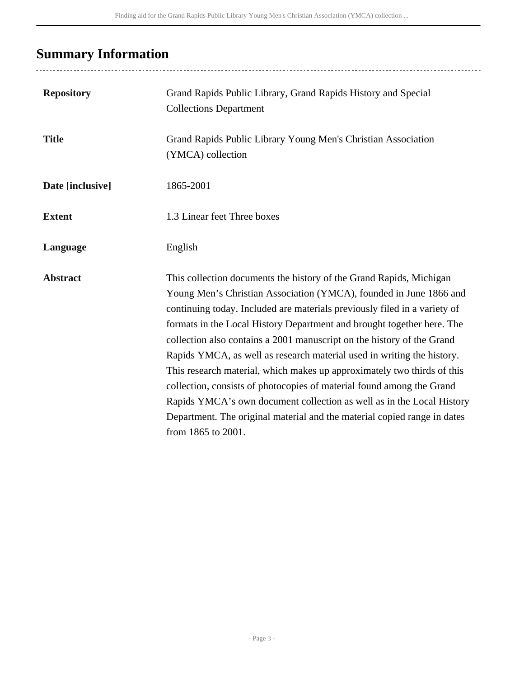# <span id="page-2-0"></span>**Summary Information**

| <b>Repository</b> | Grand Rapids Public Library, Grand Rapids History and Special<br><b>Collections Department</b>                                                                                                                                                                                                                                                                                                                                                                                                                                                                                                                                                                                                                                                                                      |
|-------------------|-------------------------------------------------------------------------------------------------------------------------------------------------------------------------------------------------------------------------------------------------------------------------------------------------------------------------------------------------------------------------------------------------------------------------------------------------------------------------------------------------------------------------------------------------------------------------------------------------------------------------------------------------------------------------------------------------------------------------------------------------------------------------------------|
| <b>Title</b>      | Grand Rapids Public Library Young Men's Christian Association<br>(YMCA) collection                                                                                                                                                                                                                                                                                                                                                                                                                                                                                                                                                                                                                                                                                                  |
| Date [inclusive]  | 1865-2001                                                                                                                                                                                                                                                                                                                                                                                                                                                                                                                                                                                                                                                                                                                                                                           |
| <b>Extent</b>     | 1.3 Linear feet Three boxes                                                                                                                                                                                                                                                                                                                                                                                                                                                                                                                                                                                                                                                                                                                                                         |
| Language          | English                                                                                                                                                                                                                                                                                                                                                                                                                                                                                                                                                                                                                                                                                                                                                                             |
| <b>Abstract</b>   | This collection documents the history of the Grand Rapids, Michigan<br>Young Men's Christian Association (YMCA), founded in June 1866 and<br>continuing today. Included are materials previously filed in a variety of<br>formats in the Local History Department and brought together here. The<br>collection also contains a 2001 manuscript on the history of the Grand<br>Rapids YMCA, as well as research material used in writing the history.<br>This research material, which makes up approximately two thirds of this<br>collection, consists of photocopies of material found among the Grand<br>Rapids YMCA's own document collection as well as in the Local History<br>Department. The original material and the material copied range in dates<br>from 1865 to 2001. |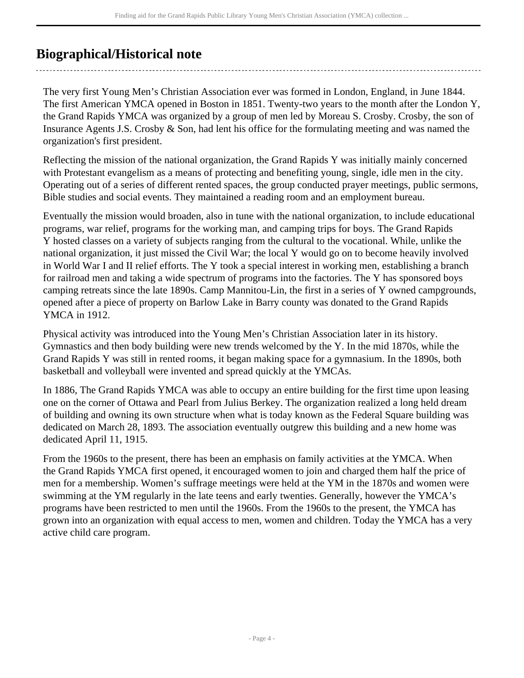# <span id="page-3-0"></span>**Biographical/Historical note**

The very first Young Men's Christian Association ever was formed in London, England, in June 1844. The first American YMCA opened in Boston in 1851. Twenty-two years to the month after the London Y, the Grand Rapids YMCA was organized by a group of men led by Moreau S. Crosby. Crosby, the son of Insurance Agents J.S. Crosby & Son, had lent his office for the formulating meeting and was named the organization's first president.

Reflecting the mission of the national organization, the Grand Rapids Y was initially mainly concerned with Protestant evangelism as a means of protecting and benefiting young, single, idle men in the city. Operating out of a series of different rented spaces, the group conducted prayer meetings, public sermons, Bible studies and social events. They maintained a reading room and an employment bureau.

Eventually the mission would broaden, also in tune with the national organization, to include educational programs, war relief, programs for the working man, and camping trips for boys. The Grand Rapids Y hosted classes on a variety of subjects ranging from the cultural to the vocational. While, unlike the national organization, it just missed the Civil War; the local Y would go on to become heavily involved in World War I and II relief efforts. The Y took a special interest in working men, establishing a branch for railroad men and taking a wide spectrum of programs into the factories. The Y has sponsored boys camping retreats since the late 1890s. Camp Mannitou-Lin, the first in a series of Y owned campgrounds, opened after a piece of property on Barlow Lake in Barry county was donated to the Grand Rapids YMCA in 1912.

Physical activity was introduced into the Young Men's Christian Association later in its history. Gymnastics and then body building were new trends welcomed by the Y. In the mid 1870s, while the Grand Rapids Y was still in rented rooms, it began making space for a gymnasium. In the 1890s, both basketball and volleyball were invented and spread quickly at the YMCAs.

In 1886, The Grand Rapids YMCA was able to occupy an entire building for the first time upon leasing one on the corner of Ottawa and Pearl from Julius Berkey. The organization realized a long held dream of building and owning its own structure when what is today known as the Federal Square building was dedicated on March 28, 1893. The association eventually outgrew this building and a new home was dedicated April 11, 1915.

From the 1960s to the present, there has been an emphasis on family activities at the YMCA. When the Grand Rapids YMCA first opened, it encouraged women to join and charged them half the price of men for a membership. Women's suffrage meetings were held at the YM in the 1870s and women were swimming at the YM regularly in the late teens and early twenties. Generally, however the YMCA's programs have been restricted to men until the 1960s. From the 1960s to the present, the YMCA has grown into an organization with equal access to men, women and children. Today the YMCA has a very active child care program.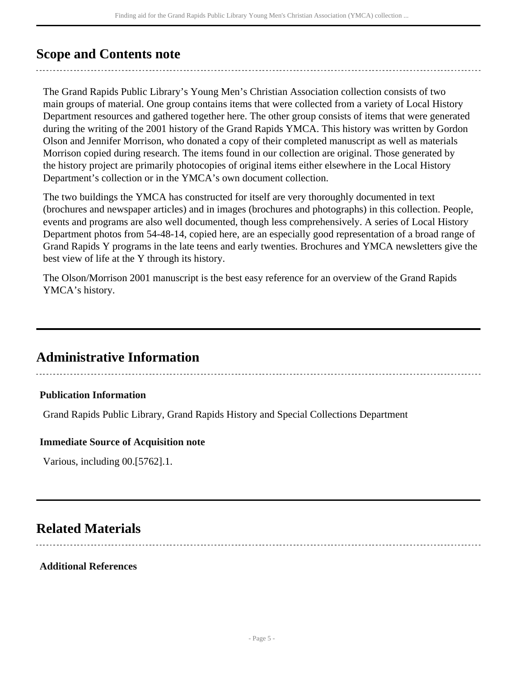## <span id="page-4-0"></span>**Scope and Contents note**

The Grand Rapids Public Library's Young Men's Christian Association collection consists of two main groups of material. One group contains items that were collected from a variety of Local History Department resources and gathered together here. The other group consists of items that were generated during the writing of the 2001 history of the Grand Rapids YMCA. This history was written by Gordon Olson and Jennifer Morrison, who donated a copy of their completed manuscript as well as materials Morrison copied during research. The items found in our collection are original. Those generated by the history project are primarily photocopies of original items either elsewhere in the Local History Department's collection or in the YMCA's own document collection.

The two buildings the YMCA has constructed for itself are very thoroughly documented in text (brochures and newspaper articles) and in images (brochures and photographs) in this collection. People, events and programs are also well documented, though less comprehensively. A series of Local History Department photos from 54-48-14, copied here, are an especially good representation of a broad range of Grand Rapids Y programs in the late teens and early twenties. Brochures and YMCA newsletters give the best view of life at the Y through its history.

The Olson/Morrison 2001 manuscript is the best easy reference for an overview of the Grand Rapids YMCA's history.

### <span id="page-4-1"></span>**Administrative Information**

#### **Publication Information**

Grand Rapids Public Library, Grand Rapids History and Special Collections Department

#### **Immediate Source of Acquisition note**

Various, including 00.[5762].1.

### <span id="page-4-2"></span>**Related Materials**

#### **Additional References**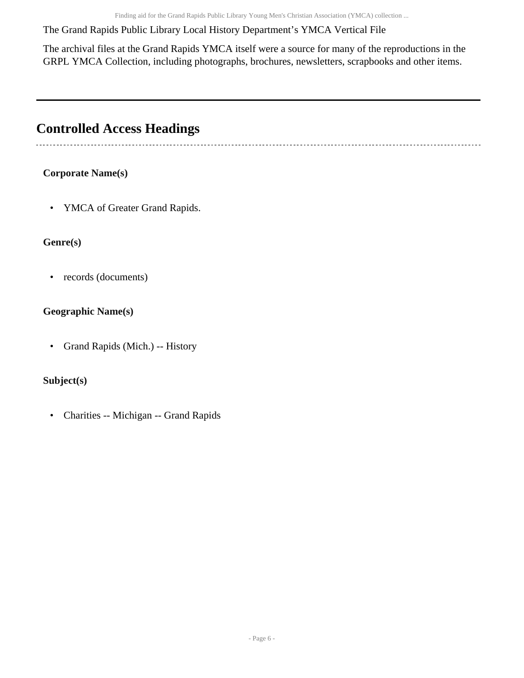Finding aid for the Grand Rapids Public Library Young Men's Christian Association (YMCA) collection ...

The Grand Rapids Public Library Local History Department's YMCA Vertical File

The archival files at the Grand Rapids YMCA itself were a source for many of the reproductions in the GRPL YMCA Collection, including photographs, brochures, newsletters, scrapbooks and other items.

## <span id="page-5-0"></span>**Controlled Access Headings**

 $\sim$ 

### **Corporate Name(s)**

• YMCA of Greater Grand Rapids.

### **Genre(s)**

• records (documents)

### **Geographic Name(s)**

• Grand Rapids (Mich.) -- History

### **Subject(s)**

• Charities -- Michigan -- Grand Rapids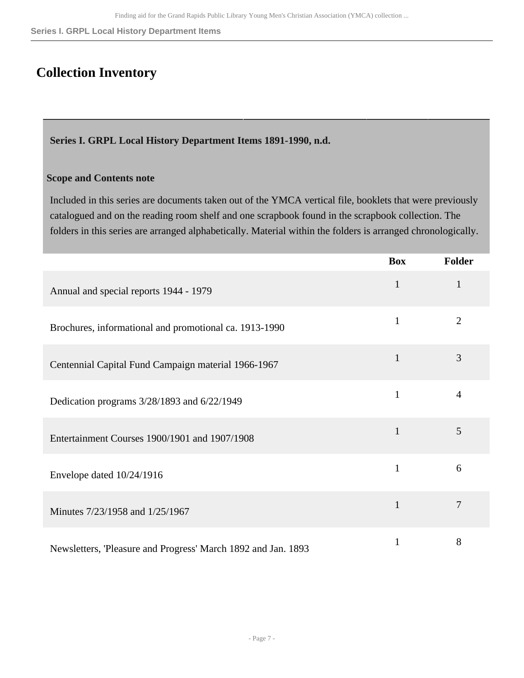**Series I. GRPL Local History Department Items**

## <span id="page-6-0"></span>**Collection Inventory**

<span id="page-6-1"></span>**Series I. GRPL Local History Department Items 1891-1990, n.d.** 

#### **Scope and Contents note**

Included in this series are documents taken out of the YMCA vertical file, booklets that were previously catalogued and on the reading room shelf and one scrapbook found in the scrapbook collection. The folders in this series are arranged alphabetically. Material within the folders is arranged chronologically.

|                                                               | <b>Box</b>   | Folder         |
|---------------------------------------------------------------|--------------|----------------|
| Annual and special reports 1944 - 1979                        | $\mathbf{1}$ | $\mathbf{1}$   |
| Brochures, informational and promotional ca. 1913-1990        | $\mathbf{1}$ | $\overline{2}$ |
| Centennial Capital Fund Campaign material 1966-1967           | $\mathbf{1}$ | 3              |
| Dedication programs 3/28/1893 and 6/22/1949                   | $\mathbf{1}$ | $\overline{4}$ |
| Entertainment Courses 1900/1901 and 1907/1908                 | $\mathbf{1}$ | 5              |
| Envelope dated 10/24/1916                                     | $\mathbf{1}$ | 6              |
| Minutes 7/23/1958 and 1/25/1967                               | $\mathbf{1}$ | 7              |
| Newsletters, 'Pleasure and Progress' March 1892 and Jan. 1893 | 1            | 8              |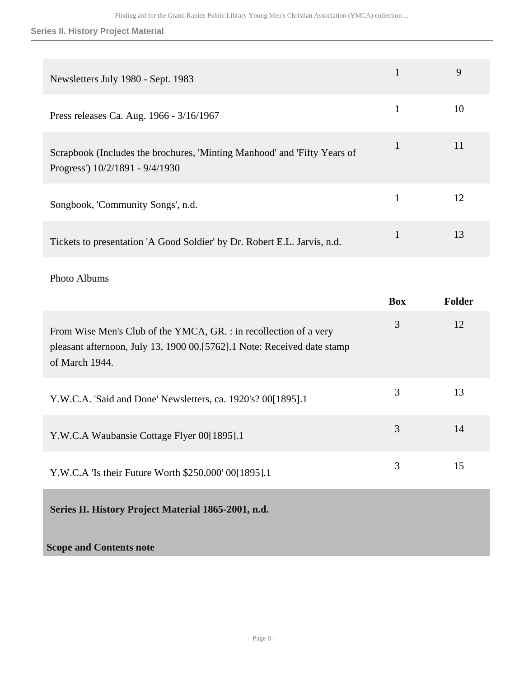### **Series II. History Project Material**

| Newsletters July 1980 - Sept. 1983                                                                          |              | 9  |
|-------------------------------------------------------------------------------------------------------------|--------------|----|
| Press releases Ca. Aug. 1966 - 3/16/1967                                                                    | 1            | 10 |
| Scrapbook (Includes the brochures, 'Minting Manhood' and 'Fifty Years of<br>Progress') 10/2/1891 - 9/4/1930 | $\mathbf{1}$ | 11 |
| Songbook, 'Community Songs', n.d.                                                                           | $\mathbf{1}$ | 12 |
| Tickets to presentation 'A Good Soldier' by Dr. Robert E.L. Jarvis, n.d.                                    |              | 13 |

### Photo Albums

<span id="page-7-0"></span>

|                                                                                                                                                                | <b>Box</b> | <b>Folder</b> |
|----------------------------------------------------------------------------------------------------------------------------------------------------------------|------------|---------------|
| From Wise Men's Club of the YMCA, GR. : in recollection of a very<br>pleasant afternoon, July 13, 1900 00.[5762].1 Note: Received date stamp<br>of March 1944. | 3          | 12            |
| Y.W.C.A. 'Said and Done' Newsletters, ca. 1920's? 00[1895].1                                                                                                   | 3          | 13            |
| Y.W.C.A Waubansie Cottage Flyer 00[1895].1                                                                                                                     | 3          | 14            |
| Y.W.C.A 'Is their Future Worth \$250,000' 00[1895].1                                                                                                           | 3          | 15            |
| Series II. History Project Material 1865-2001, n.d.                                                                                                            |            |               |
| <b>Scope and Contents note</b>                                                                                                                                 |            |               |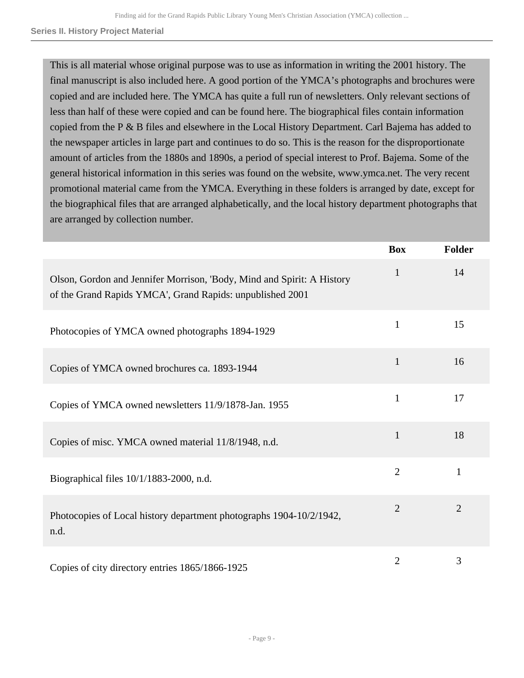#### **Series II. History Project Material**

This is all material whose original purpose was to use as information in writing the 2001 history. The final manuscript is also included here. A good portion of the YMCA's photographs and brochures were copied and are included here. The YMCA has quite a full run of newsletters. Only relevant sections of less than half of these were copied and can be found here. The biographical files contain information copied from the P & B files and elsewhere in the Local History Department. Carl Bajema has added to the newspaper articles in large part and continues to do so. This is the reason for the disproportionate amount of articles from the 1880s and 1890s, a period of special interest to Prof. Bajema. Some of the general historical information in this series was found on the website, www.ymca.net. The very recent promotional material came from the YMCA. Everything in these folders is arranged by date, except for the biographical files that are arranged alphabetically, and the local history department photographs that are arranged by collection number.

|                                                                                                                                     | <b>Box</b>     | Folder         |
|-------------------------------------------------------------------------------------------------------------------------------------|----------------|----------------|
| Olson, Gordon and Jennifer Morrison, 'Body, Mind and Spirit: A History<br>of the Grand Rapids YMCA', Grand Rapids: unpublished 2001 | 1              | 14             |
| Photocopies of YMCA owned photographs 1894-1929                                                                                     | $\mathbf{1}$   | 15             |
| Copies of YMCA owned brochures ca. 1893-1944                                                                                        | $\mathbf{1}$   | 16             |
| Copies of YMCA owned newsletters 11/9/1878-Jan. 1955                                                                                | $\mathbf{1}$   | 17             |
| Copies of misc. YMCA owned material 11/8/1948, n.d.                                                                                 | $\mathbf{1}$   | 18             |
| Biographical files 10/1/1883-2000, n.d.                                                                                             | $\overline{2}$ | $\mathbf{1}$   |
| Photocopies of Local history department photographs 1904-10/2/1942,<br>n.d.                                                         | $\overline{2}$ | $\overline{2}$ |
| Copies of city directory entries 1865/1866-1925                                                                                     | $\overline{2}$ | 3              |